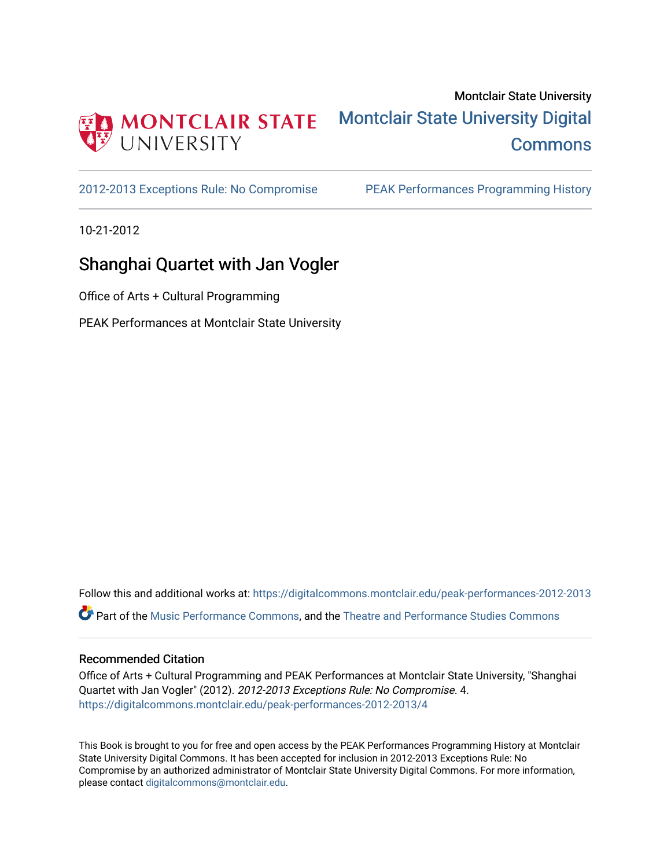

# Montclair State University [Montclair State University Digital](https://digitalcommons.montclair.edu/)  **Commons**

[2012-2013 Exceptions Rule: No Compromise](https://digitalcommons.montclair.edu/peak-performances-2012-2013) [PEAK Performances Programming History](https://digitalcommons.montclair.edu/peak-performances-programming-history) 

10-21-2012

# Shanghai Quartet with Jan Vogler

Office of Arts + Cultural Programming

PEAK Performances at Montclair State University

Follow this and additional works at: [https://digitalcommons.montclair.edu/peak-performances-2012-2013](https://digitalcommons.montclair.edu/peak-performances-2012-2013?utm_source=digitalcommons.montclair.edu%2Fpeak-performances-2012-2013%2F4&utm_medium=PDF&utm_campaign=PDFCoverPages)  Part of the [Music Performance Commons](http://network.bepress.com/hgg/discipline/1128?utm_source=digitalcommons.montclair.edu%2Fpeak-performances-2012-2013%2F4&utm_medium=PDF&utm_campaign=PDFCoverPages), and the [Theatre and Performance Studies Commons](http://network.bepress.com/hgg/discipline/552?utm_source=digitalcommons.montclair.edu%2Fpeak-performances-2012-2013%2F4&utm_medium=PDF&utm_campaign=PDFCoverPages) 

## Recommended Citation

Office of Arts + Cultural Programming and PEAK Performances at Montclair State University, "Shanghai Quartet with Jan Vogler" (2012). 2012-2013 Exceptions Rule: No Compromise. 4. [https://digitalcommons.montclair.edu/peak-performances-2012-2013/4](https://digitalcommons.montclair.edu/peak-performances-2012-2013/4?utm_source=digitalcommons.montclair.edu%2Fpeak-performances-2012-2013%2F4&utm_medium=PDF&utm_campaign=PDFCoverPages) 

This Book is brought to you for free and open access by the PEAK Performances Programming History at Montclair State University Digital Commons. It has been accepted for inclusion in 2012-2013 Exceptions Rule: No Compromise by an authorized administrator of Montclair State University Digital Commons. For more information, please contact [digitalcommons@montclair.edu.](mailto:digitalcommons@montclair.edu)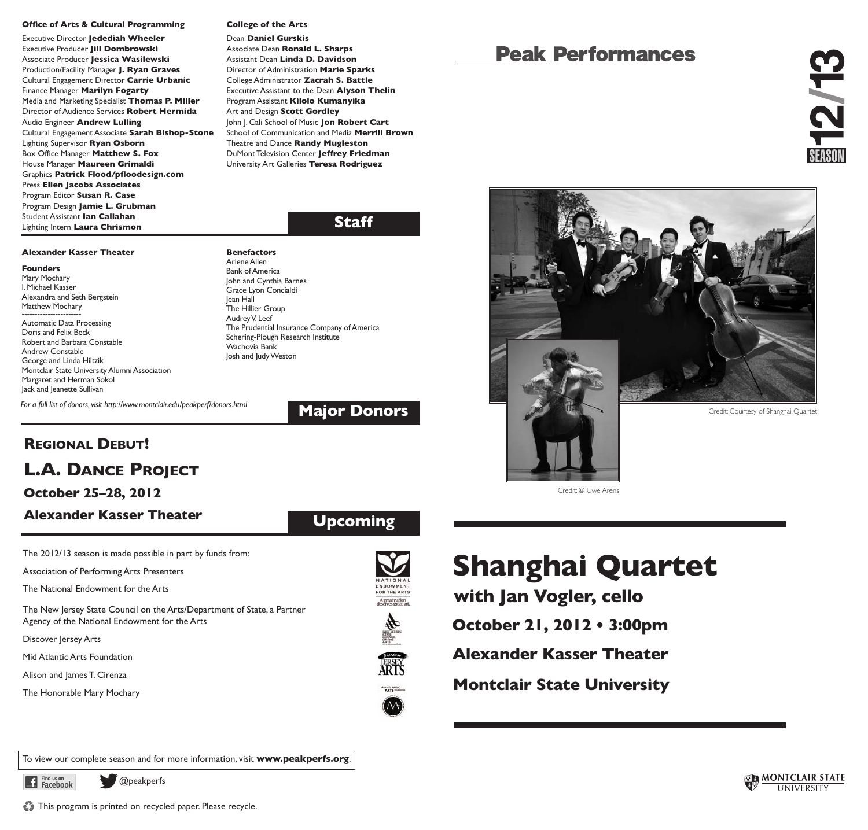### **Office of Arts & Cultural Programming**

Executive Director **Jedediah Wheeler** Executive Producer **Jill Dombrowski** Associate Producer **Jessica Wasilewski** Production/Facility Manager **J. Ryan Graves** Cultural Engagement Director **Carrie Urbanic** Finance Manager **Marilyn Fogarty** Media and Marketing Specialist **Thomas P. Miller** Director of Audience Services **Robert Hermida** Audio Engineer **Andrew Lulling** Cultural Engagement Associate **Sarah Bishop-Stone** Lighting Supervisor **Ryan Osborn** Box Office Manager **Matthew S. Fox** House Manager **Maureen Grimaldi** Graphics **Patrick Flood/pfloodesign.com** Press **Ellen Jacobs Associates** Program Editor **Susan R. Case** Program Design **Jamie L. Grubman** Student Assistant **Ian Callahan** Lighting Intern **Laura Chrismon**

### **College of the Arts**

**Benefactors**

Dean **Daniel Gurskis** Associate Dean **Ronald L. Sharps** Assistant Dean **Linda D. Davidson** Director of Administration **Marie Sparks** College Administrator **Zacrah S. Battle** Executive Assistant to the Dean **Alyson Thelin** Program Assistant **Kilolo Kumanyika** Art and Design **Scott Gordley** John J. Cali School of Music **Jon Robert Cart** School of Communication and Media **Merrill Brown** Theatre and Dance **Randy Mugleston** DuMont Television Center **Jeffrey Friedman** University Art Galleries **Teresa Rodriguez**

## **Staff**

## **Alexander Kasser Theater**

### **Founders**

Mary Mochary I.Michael Kasser Alexandra and Seth Bergstein Matthew Mochary

Automatic Data Processing Doris and Felix Beck Robert and Barbara Constable Andrew Constable George and Linda Hiltzik Montclair State University Alumni Association Margaret and Herman Sokol Jack and Jeanette Sullivan

*For a full list of donors, visit http://www.montclair.edu/peakperf/donors.html* 

Arlene Allen **Bank of America** John and Cynthia Barnes Grace Lyon Concialdi Jean Hall The Hillier Group Audrey V. Leef The Prudential Insurance Company of America Schering-Plough Research Institute Wachovia Bank Josh and Judy Weston

## **Major Donors**

**Upcoming**

# **REGIONAL DEBUT! L.A. DANCE PROJECT**

## **October 25–28, 2012**

## **Alexander Kasser Theater**

The 2012/13 season is made possible in part by funds from:

Association of Performing Arts Presenters

The National Endowment for the Arts

The New Jersey State Council on the Arts/Department of State, a Partner Agency of the National Endowment for the Arts

Discover Jersey Arts

Mid Atlantic Arts Foundation

Alison and James T. Cirenza

The Honorable Mary Mochary











# **Peak Performances**



**Shanghai Quartet**

Credit: © Uwe Arens

**with Jan Vogler, cello**

**October 21, 2012 • 3:00pm**

**Alexander Kasser Theater**

**Montclair State University**